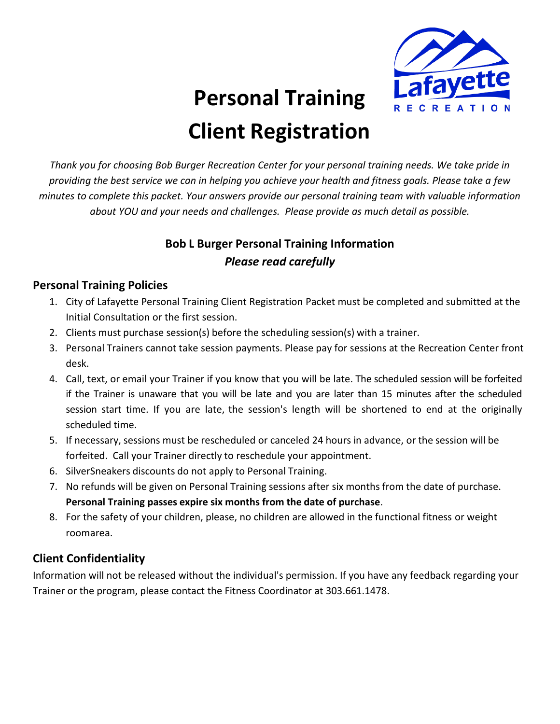

# **Personal Training Client Registration**

*Thank you for choosing Bob Burger Recreation Center for your personal training needs. We take pride in providing the best service we can in helping you achieve your health and fitness goals. Please take a few minutes to complete this packet. Your answers provide our personal training team with valuable information about YOU and your needs and challenges. Please provide as much detail as possible.*

## **Bob L Burger Personal Training Information** *Please read carefully*

### **Personal Training Policies**

- 1. City of Lafayette Personal Training Client Registration Packet must be completed and submitted at the Initial Consultation or the first session.
- 2. Clients must purchase session(s) before the scheduling session(s) with a trainer.
- 3. Personal Trainers cannot take session payments. Please pay for sessions at the Recreation Center front desk.
- 4. Call, text, or email your Trainer if you know that you will be late. The scheduled session will be forfeited if the Trainer is unaware that you will be late and you are later than 15 minutes after the scheduled session start time. If you are late, the session's length will be shortened to end at the originally scheduled time.
- 5. If necessary, sessions must be rescheduled or canceled 24 hours in advance, or the session will be forfeited. Call your Trainer directly to reschedule your appointment.
- 6. SilverSneakers discounts do not apply to Personal Training.
- 7. No refunds will be given on Personal Training sessions after six months from the date of purchase. **Personal Training passes expire six months from the date of purchase**.
- 8. For the safety of your children, please, no children are allowed in the functional fitness or weight roomarea.

## **Client Confidentiality**

Information will not be released without the individual's permission. If you have any feedback regarding your Trainer or the program, please contact the Fitness Coordinator at 303.661.1478.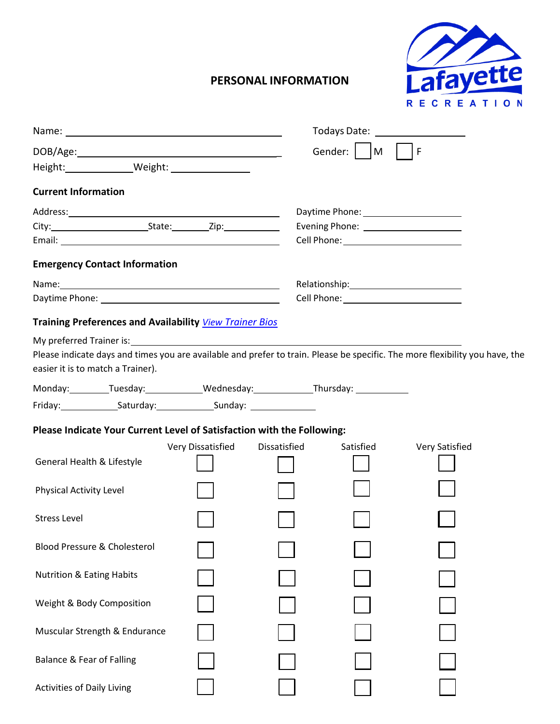

## **PERSONAL INFORMATION**

|                                                                                                                              |                   |              | Todays Date: <u>_______________________</u> |                |  |
|------------------------------------------------------------------------------------------------------------------------------|-------------------|--------------|---------------------------------------------|----------------|--|
|                                                                                                                              |                   |              | Gender: $\vert$   M     F                   |                |  |
|                                                                                                                              |                   |              |                                             |                |  |
| <b>Current Information</b>                                                                                                   |                   |              |                                             |                |  |
|                                                                                                                              |                   |              |                                             |                |  |
|                                                                                                                              |                   |              |                                             |                |  |
|                                                                                                                              |                   |              |                                             |                |  |
| <b>Emergency Contact Information</b>                                                                                         |                   |              |                                             |                |  |
|                                                                                                                              |                   |              |                                             |                |  |
|                                                                                                                              |                   |              |                                             |                |  |
| <b>Training Preferences and Availability View Trainer Bios</b>                                                               |                   |              |                                             |                |  |
| Please indicate days and times you are available and prefer to train. Please be specific. The more flexibility you have, the |                   |              |                                             |                |  |
| easier it is to match a Trainer).                                                                                            |                   |              |                                             |                |  |
| Monday: Tuesday: Wednesday: Thursday: Thursday:                                                                              |                   |              |                                             |                |  |
|                                                                                                                              |                   |              |                                             |                |  |
| Please Indicate Your Current Level of Satisfaction with the Following:                                                       |                   |              |                                             |                |  |
|                                                                                                                              | Very Dissatisfied | Dissatisfied | Satisfied                                   | Very Satisfied |  |
| General Health & Lifestyle                                                                                                   |                   |              |                                             |                |  |
| Physical Activity Level                                                                                                      |                   |              |                                             |                |  |
| <b>Stress Level</b>                                                                                                          |                   |              |                                             |                |  |
| <b>Blood Pressure &amp; Cholesterol</b>                                                                                      |                   |              |                                             |                |  |
| <b>Nutrition &amp; Eating Habits</b>                                                                                         |                   |              |                                             |                |  |
| Weight & Body Composition                                                                                                    |                   |              |                                             |                |  |
| Muscular Strength & Endurance                                                                                                |                   |              |                                             |                |  |
| <b>Balance &amp; Fear of Falling</b>                                                                                         |                   |              |                                             |                |  |
| <b>Activities of Daily Living</b>                                                                                            |                   |              |                                             |                |  |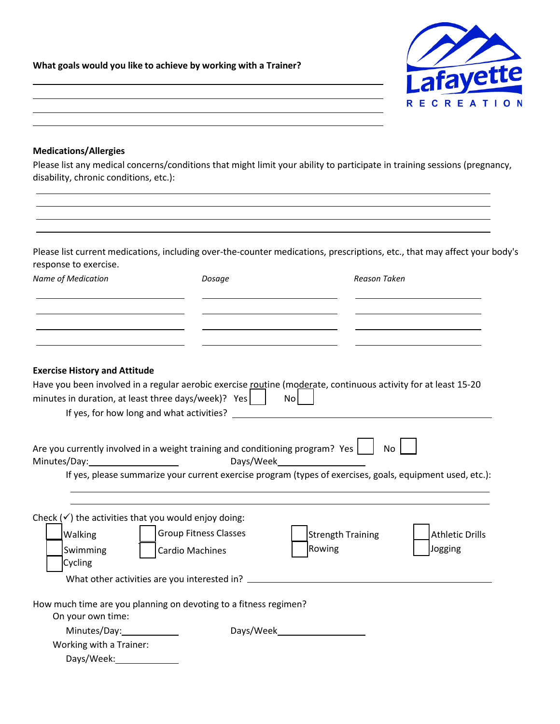**What goals would you like to achieve by working with a Trainer?**



#### **Medications/Allergies**

Please list any medical concerns/conditions that might limit your ability to participate in training sessions (pregnancy, disability, chronic conditions, etc.):

Please list current medications, including over-the-counter medications, prescriptions, etc., that may affect your body's response to exercise.

| Name of Medication                                              | Dosage                                                                                                         | Reason Taken      |                        |
|-----------------------------------------------------------------|----------------------------------------------------------------------------------------------------------------|-------------------|------------------------|
|                                                                 |                                                                                                                |                   |                        |
|                                                                 |                                                                                                                |                   |                        |
| <b>Exercise History and Attitude</b>                            |                                                                                                                |                   |                        |
|                                                                 | Have you been involved in a regular aerobic exercise routine (moderate, continuous activity for at least 15-20 |                   |                        |
|                                                                 | minutes in duration, at least three days/week)? $Yes$                                                          | No                |                        |
|                                                                 |                                                                                                                |                   |                        |
|                                                                 |                                                                                                                |                   |                        |
|                                                                 | Are you currently involved in a weight training and conditioning program? Yes $\boxed{\phantom{a}}$            | <b>No</b>         |                        |
| Minutes/Day:                                                    |                                                                                                                |                   |                        |
|                                                                 | If yes, please summarize your current exercise program (types of exercises, goals, equipment used, etc.):      |                   |                        |
|                                                                 |                                                                                                                |                   |                        |
|                                                                 |                                                                                                                |                   |                        |
| Check $(\checkmark)$ the activities that you would enjoy doing: |                                                                                                                |                   |                        |
| Walking                                                         | <b>Group Fitness Classes</b>                                                                                   | Strength Training | <b>Athletic Drills</b> |
| Swimming                                                        | <b>Cardio Machines</b>                                                                                         | Rowing            | Jogging                |
| Cycling                                                         |                                                                                                                |                   |                        |
|                                                                 | What other activities are you interested in?                                                                   |                   |                        |
|                                                                 |                                                                                                                |                   |                        |
|                                                                 | How much time are you planning on devoting to a fitness regimen?                                               |                   |                        |
| On your own time:                                               |                                                                                                                |                   |                        |
| Minutes/Day:                                                    |                                                                                                                | Days/Week         |                        |
| Working with a Trainer:                                         |                                                                                                                |                   |                        |
| Days/Week:                                                      |                                                                                                                |                   |                        |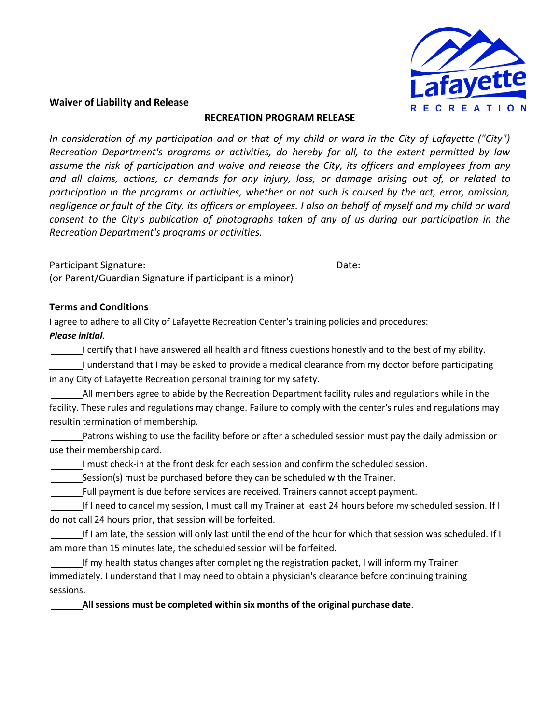

#### **Waiver of Liability and Release**

#### **RECREATION PROGRAM RELEASE**

*In consideration of my participation and or that of my child or ward in the City of Lafayette ("City") Recreation Department's programs or activities, do hereby for all, to the extent permitted by law assume the risk of participation and waive and release the City, its officers and employees from any and all claims, actions, or demands for any injury, loss, or damage arising out of, or related to participation in the programs or activities, whether or not such is caused by the act, error, omission, negligence or fault of the City, its officers or employees. I also on behalf of myself and my child or ward consent to the City's publication of photographs taken of any of us during our participation in the Recreation Department's programs or activities.*

Participant Signature: National Signature: National Signature: National Signature: Date: Date: Date: Date: National Date:  $\Box$ (or Parent/Guardian Signature if participant is a minor)

#### **Terms and Conditions**

I agree to adhere to all City of Lafayette Recreation Center's training policies and procedures: *Please initial*.

I certify that I have answered all health and fitness questions honestly and to the best of my ability.

I understand that I may be asked to provide a medical clearance from my doctor before participating in any City of Lafayette Recreation personal training for my safety.

All members agree to abide by the Recreation Department facility rules and regulations while in the facility. These rules and regulations may change. Failure to comply with the center's rules and regulations may resultin termination of membership.

Patrons wishing to use the facility before or after a scheduled session must pay the daily admission or use their membership card.

I must check-in at the front desk for each session and confirm the scheduled session.

Session(s) must be purchased before they can be scheduled with the Trainer.

Full payment is due before services are received. Trainers cannot accept payment.

If I need to cancel my session, I must call my Trainer at least 24 hours before my scheduled session. If I do not call 24 hours prior, that session will be forfeited.

If I am late, the session will only last until the end of the hour for which that session was scheduled. If I am more than 15 minutes late, the scheduled session will be forfeited.

If my health status changes after completing the registration packet, I will inform my Trainer immediately. I understand that I may need to obtain a physician's clearance before continuing training sessions.

**All sessions must be completed within six months of the original purchase date**.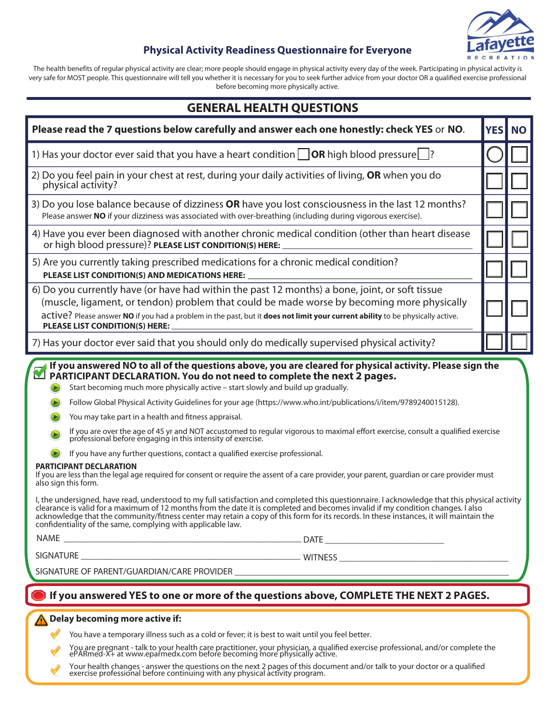

#### **Physical Activity Readiness Questionnaire for Everyone**

The health benefits of regular physical activity are clear; more people should engage in physical activity every day of the week. Participating in physical activity is very safe for MOST people. This questionnaire will tell you whether it is necessary for you to seek further advice from your doctor OR a qualified exercise professional before becoming more physically active.

| <b>GENERAL HEALTH QUESTIONS</b>                                                                                                                                                                                                                                                                                                                                                                                                                                                                                                                                                                                                                                                                                                                                                                                                                                                                                                                                                                                                                                                                                                                                                                                                                                                                                                                                                                                                              |            |           |  |  |
|----------------------------------------------------------------------------------------------------------------------------------------------------------------------------------------------------------------------------------------------------------------------------------------------------------------------------------------------------------------------------------------------------------------------------------------------------------------------------------------------------------------------------------------------------------------------------------------------------------------------------------------------------------------------------------------------------------------------------------------------------------------------------------------------------------------------------------------------------------------------------------------------------------------------------------------------------------------------------------------------------------------------------------------------------------------------------------------------------------------------------------------------------------------------------------------------------------------------------------------------------------------------------------------------------------------------------------------------------------------------------------------------------------------------------------------------|------------|-----------|--|--|
| Please read the 7 questions below carefully and answer each one honestly: check YES or NO.                                                                                                                                                                                                                                                                                                                                                                                                                                                                                                                                                                                                                                                                                                                                                                                                                                                                                                                                                                                                                                                                                                                                                                                                                                                                                                                                                   | <b>YES</b> | <b>NO</b> |  |  |
| 1) Has your doctor ever said that you have a heart condition $\Box$ OR high blood pressure $\Box$ ?                                                                                                                                                                                                                                                                                                                                                                                                                                                                                                                                                                                                                                                                                                                                                                                                                                                                                                                                                                                                                                                                                                                                                                                                                                                                                                                                          |            |           |  |  |
| 2) Do you feel pain in your chest at rest, during your daily activities of living, OR when you do<br>physical activity?                                                                                                                                                                                                                                                                                                                                                                                                                                                                                                                                                                                                                                                                                                                                                                                                                                                                                                                                                                                                                                                                                                                                                                                                                                                                                                                      |            |           |  |  |
| 3) Do you lose balance because of dizziness OR have you lost consciousness in the last 12 months?<br>Please answer NO if your dizziness was associated with over-breathing (including during vigorous exercise).                                                                                                                                                                                                                                                                                                                                                                                                                                                                                                                                                                                                                                                                                                                                                                                                                                                                                                                                                                                                                                                                                                                                                                                                                             |            |           |  |  |
| 4) Have you ever been diagnosed with another chronic medical condition (other than heart disease<br>or high blood pressure)? PLEASE LIST CONDITION(S) HERE:                                                                                                                                                                                                                                                                                                                                                                                                                                                                                                                                                                                                                                                                                                                                                                                                                                                                                                                                                                                                                                                                                                                                                                                                                                                                                  |            |           |  |  |
| 5) Are you currently taking prescribed medications for a chronic medical condition?<br>PLEASE LIST CONDITION(S) AND MEDICATIONS HERE:                                                                                                                                                                                                                                                                                                                                                                                                                                                                                                                                                                                                                                                                                                                                                                                                                                                                                                                                                                                                                                                                                                                                                                                                                                                                                                        |            |           |  |  |
| 6) Do you currently have (or have had within the past 12 months) a bone, joint, or soft tissue<br>(muscle, ligament, or tendon) problem that could be made worse by becoming more physically<br>active? Please answer NO if you had a problem in the past, but it does not limit your current ability to be physically active.<br>PLEASE LIST CONDITION(S) HERE:                                                                                                                                                                                                                                                                                                                                                                                                                                                                                                                                                                                                                                                                                                                                                                                                                                                                                                                                                                                                                                                                             |            |           |  |  |
| 7) Has your doctor ever said that you should only do medically supervised physical activity?                                                                                                                                                                                                                                                                                                                                                                                                                                                                                                                                                                                                                                                                                                                                                                                                                                                                                                                                                                                                                                                                                                                                                                                                                                                                                                                                                 |            |           |  |  |
| If you answered NO to all of the questions above, you are cleared for physical activity. Please sign the<br>PARTICIPANT DECLARATION. You do not need to complete the next 2 pages.<br>Start becoming much more physically active - start slowly and build up gradually.<br>Follow Global Physical Activity Guidelines for your age (https://www.who.int/publications/i/item/9789240015128).<br>You may take part in a health and fitness appraisal.<br>If you are over the age of 45 yr and NOT accustomed to regular vigorous to maximal effort exercise, consult a qualified exercise professional before engaging in this intensity of exercise.<br>If you have any further questions, contact a qualified exercise professional.<br><b>PARTICIPANT DECLARATION</b><br>If you are less than the legal age required for consent or require the assent of a care provider, your parent, guardian or care provider must<br>also sign this form.<br>I, the undersigned, have read, understood to my full satisfaction and completed this questionnaire. I acknowledge that this physical activity<br>clearance is valid for a maximum of 12 months from the date it is completed and becomes invalid if my condition changes. I also<br>acknowledge that the community/fitness center may retain a copy of this form for its records. In these instances, it will maintain the<br>confidentiality of the same, complying with applicable law. |            |           |  |  |
|                                                                                                                                                                                                                                                                                                                                                                                                                                                                                                                                                                                                                                                                                                                                                                                                                                                                                                                                                                                                                                                                                                                                                                                                                                                                                                                                                                                                                                              |            |           |  |  |
| If you answered YES to one or more of the questions above, COMPLETE THE NEXT 2 PAGES.<br>Delay becoming more active if:<br>You have a temporary illness such as a cold or fever; it is best to wait until you feel better.<br>You are pregnant - talk to your health care practitioner, your physician, a qualified exercise professional, and/or complete the<br>ePARmed-X+ at www.eparmedx.com before becoming more physically active.                                                                                                                                                                                                                                                                                                                                                                                                                                                                                                                                                                                                                                                                                                                                                                                                                                                                                                                                                                                                     |            |           |  |  |

Your health changes - answer the questions on the next 2 pages of this document and/or talk to your doctor or a qualified<br>exercise professional before continuing with any physical activity program.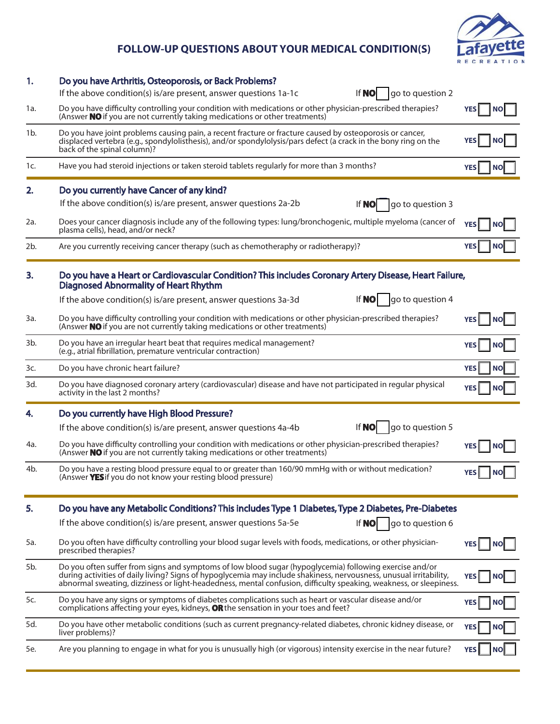## **FOLLOW-UP QUESTIONS ABOUT YOUR MEDICAL CONDITION(S)**



| 1.     | Do you have Arthritis, Osteoporosis, or Back Problems?                                                                                                                                                                                                                                                                                             |                         |
|--------|----------------------------------------------------------------------------------------------------------------------------------------------------------------------------------------------------------------------------------------------------------------------------------------------------------------------------------------------------|-------------------------|
|        | If the above condition(s) is/are present, answer questions 1a-1c<br><b>If NO</b><br>go to question 2                                                                                                                                                                                                                                               |                         |
| 1a.    | Do you have difficulty controlling your condition with medications or other physician-prescribed therapies?<br>(Answer NO if you are not currently taking medications or other treatments)                                                                                                                                                         | <b>NO</b>               |
| $1b$ . | Do you have joint problems causing pain, a recent fracture or fracture caused by osteoporosis or cancer,<br>displaced vertebra (e.g., spondylolisthesis), and/or spondylolysis/pars defect (a crack in the bony ring on the<br>back of the spinal column)?                                                                                         | ΝO                      |
| 1c.    | Have you had steroid injections or taken steroid tablets regularly for more than 3 months?                                                                                                                                                                                                                                                         | <b>YES</b><br>ΝO        |
| 2.     | Do you currently have Cancer of any kind?                                                                                                                                                                                                                                                                                                          |                         |
|        | If the above condition(s) is/are present, answer questions 2a-2b<br>If <b>NO</b><br>go to question 3                                                                                                                                                                                                                                               |                         |
| 2a.    | Does your cancer diagnosis include any of the following types: lung/bronchogenic, multiple myeloma (cancer of<br>plasma cells), head, and/or neck?                                                                                                                                                                                                 | <b>YES</b>              |
| 2b.    | Are you currently receiving cancer therapy (such as chemotheraphy or radiotherapy)?                                                                                                                                                                                                                                                                |                         |
| 3.     | Do you have a Heart or Cardiovascular Condition? This includes Coronary Artery Disease, Heart Failure,<br><b>Diagnosed Abnormality of Heart Rhythm</b>                                                                                                                                                                                             |                         |
|        | If <b>NO</b><br>go to question 4<br>If the above condition(s) is/are present, answer questions 3a-3d                                                                                                                                                                                                                                               |                         |
| 3a.    | Do you have difficulty controlling your condition with medications or other physician-prescribed therapies?<br>(Answer NO if you are not currently taking medications or other treatments)                                                                                                                                                         | <b>YES</b><br><b>NO</b> |
| 3b.    | Do you have an irregular heart beat that requires medical management?<br>(e.g., atrial fibrillation, premature ventricular contraction)                                                                                                                                                                                                            | <b>NO</b>               |
| 3c.    | Do you have chronic heart failure?                                                                                                                                                                                                                                                                                                                 | <b>YES</b><br><b>NO</b> |
| 3d.    | Do you have diagnosed coronary artery (cardiovascular) disease and have not participated in regular physical<br>activity in the last 2 months?                                                                                                                                                                                                     | <b>NO</b>               |
| 4.     | Do you currently have High Blood Pressure?                                                                                                                                                                                                                                                                                                         |                         |
|        | go to question 5<br><b>If NO</b><br>If the above condition(s) is/are present, answer questions 4a-4b                                                                                                                                                                                                                                               |                         |
| 4a.    | Do you have difficulty controlling your condition with medications or other physician-prescribed therapies?<br>(Answer <b>NO</b> if you are not currently taking medications or other treatments)                                                                                                                                                  |                         |
| 4b.    | Do you have a resting blood pressure equal to or greater than 160/90 mmHg with or without medication?<br>(Answer YES if you do not know your resting blood pressure)                                                                                                                                                                               | NO                      |
| 5.     | Do you have any Metabolic Conditions? This includes Type 1 Diabetes, Type 2 Diabetes, Pre-Diabetes                                                                                                                                                                                                                                                 |                         |
|        | If the above condition(s) is/are present, answer questions 5a-5e<br>If <b>NO</b><br>go to question 6                                                                                                                                                                                                                                               |                         |
| 5a.    | Do you often have difficulty controlling your blood sugar levels with foods, medications, or other physician-<br>prescribed therapies?                                                                                                                                                                                                             |                         |
| 5b.    | Do you often suffer from signs and symptoms of low blood sugar (hypoglycemia) following exercise and/or<br>during activities of daily living? Signs of hypoglycemia may include shakiness, nervousness, unusual irritability,<br>abnormal sweating, dizziness or light-headedness, mental confusion, difficulty speaking, weakness, or sleepiness. | <b>YES</b><br>ΝO        |
| 5c.    | Do you have any signs or symptoms of diabetes complications such as heart or vascular disease and/or<br>complications affecting your eyes, kidneys, OR the sensation in your toes and feet?                                                                                                                                                        | <b>YES</b><br>NO        |
| 5d.    | Do you have other metabolic conditions (such as current pregnancy-related diabetes, chronic kidney disease, or<br>liver problems)?                                                                                                                                                                                                                 | <b>YES</b><br>ΝO        |
| 5e.    | Are you planning to engage in what for you is unusually high (or vigorous) intensity exercise in the near future?                                                                                                                                                                                                                                  |                         |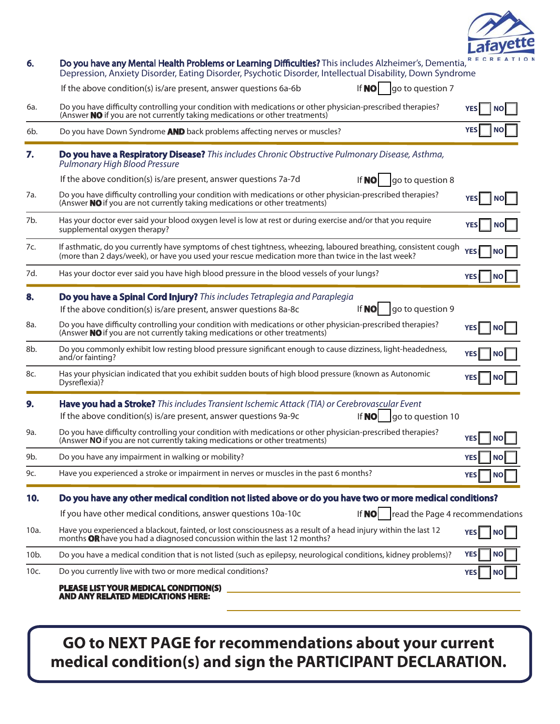

| 6.                | Do you have any Mental Health Problems or Learning Difficulties? This includes Alzheimer's, Dementia,<br>Depression, Anxiety Disorder, Eating Disorder, Psychotic Disorder, Intellectual Disability, Down Syndrome    |                          |
|-------------------|-----------------------------------------------------------------------------------------------------------------------------------------------------------------------------------------------------------------------|--------------------------|
|                   | If $NO$<br>go to question 7<br>If the above condition(s) is/are present, answer questions 6a-6b                                                                                                                       |                          |
| 6a.               | Do you have difficulty controlling your condition with medications or other physician-prescribed therapies?<br>(Answer NO if you are not currently taking medications or other treatments)                            | <b>YES</b>               |
| 6b.               | Do you have Down Syndrome AND back problems affecting nerves or muscles?                                                                                                                                              |                          |
| 7.                | Do you have a Respiratory Disease? This includes Chronic Obstructive Pulmonary Disease, Asthma,<br><b>Pulmonary High Blood Pressure</b>                                                                               |                          |
|                   | If the above condition(s) is/are present, answer questions 7a-7d<br>If <b>NO</b><br>go to question 8                                                                                                                  |                          |
| 7a.               | Do you have difficulty controlling your condition with medications or other physician-prescribed therapies?<br>(Answer <b>NO</b> if you are not currently taking medications or other treatments)                     | <b>YESI</b><br><b>NO</b> |
| 7b.               | Has your doctor ever said your blood oxygen level is low at rest or during exercise and/or that you require<br>supplemental oxygen therapy?                                                                           | NΟ                       |
| 7c.               | If asthmatic, do you currently have symptoms of chest tightness, wheezing, laboured breathing, consistent cough<br>(more than 2 days/week), or have you used your rescue medication more than twice in the last week? | <b>YES</b><br>I NO       |
| 7d.               | Has your doctor ever said you have high blood pressure in the blood vessels of your lungs?                                                                                                                            | <b>YES</b><br>I NO       |
| 8.                | Do you have a Spinal Cord Injury? This includes Tetraplegia and Paraplegia<br>If <b>NO</b><br>If the above condition(s) is/are present, answer questions 8a-8c<br>go to question 9                                    |                          |
| 8a.               | Do you have difficulty controlling your condition with medications or other physician-prescribed therapies?<br>(Answer NO if you are not currently taking medications or other treatments)                            | <b>NO</b>                |
| 8b.               | Do you commonly exhibit low resting blood pressure significant enough to cause dizziness, light-headedness,<br>and/or fainting?                                                                                       | YES<br><b>NO</b>         |
| 8c.               | Has your physician indicated that you exhibit sudden bouts of high blood pressure (known as Autonomic<br>Dysreflexia)?                                                                                                |                          |
| 9.                | Have you had a Stroke? This includes Transient Ischemic Attack (TIA) or Cerebrovascular Event<br>If <b>NO</b><br>If the above condition(s) is/are present, answer questions 9a-9c<br>go to question 10                |                          |
| 9a.               | Do you have difficulty controlling your condition with medications or other physician-prescribed therapies?<br>(Answer NO if you are not currently taking medications or other treatments)                            | <b>YES</b>               |
| 9b.               | Do you have any impairment in walking or mobility?                                                                                                                                                                    | <b>YES</b><br><b>NO</b>  |
| 9c.               | Have you experienced a stroke or impairment in nerves or muscles in the past 6 months?                                                                                                                                | <b>YES</b><br><b>NO</b>  |
| 10.               | Do you have any other medical condition not listed above or do you have two or more medical conditions?                                                                                                               |                          |
|                   | If $\text{NO}$   read the Page 4 recommendations<br>If you have other medical conditions, answer questions 10a-10c                                                                                                    |                          |
| 10a.              | Have you experienced a blackout, fainted, or lost consciousness as a result of a head injury within the last 12<br>months OR have you had a diagnosed concussion within the last 12 months?                           | <b>YES</b><br> NO        |
| 10 <sub>b</sub> . | Do you have a medical condition that is not listed (such as epilepsy, neurological conditions, kidney problems)?                                                                                                      | <b>YES</b><br><b>NO</b>  |
| 10c.              | Do you currently live with two or more medical conditions?                                                                                                                                                            | <b>YES</b>               |
|                   | PLEASE LIST YOUR MEDICAL CONDITION(S)<br><b>AND ANY RELATED MEDICATIONS HERE:</b>                                                                                                                                     |                          |

## **GO to NEXT PAGE for recommendations about your current medical condition(s) and sign the PARTICIPANT DECLARATION.**